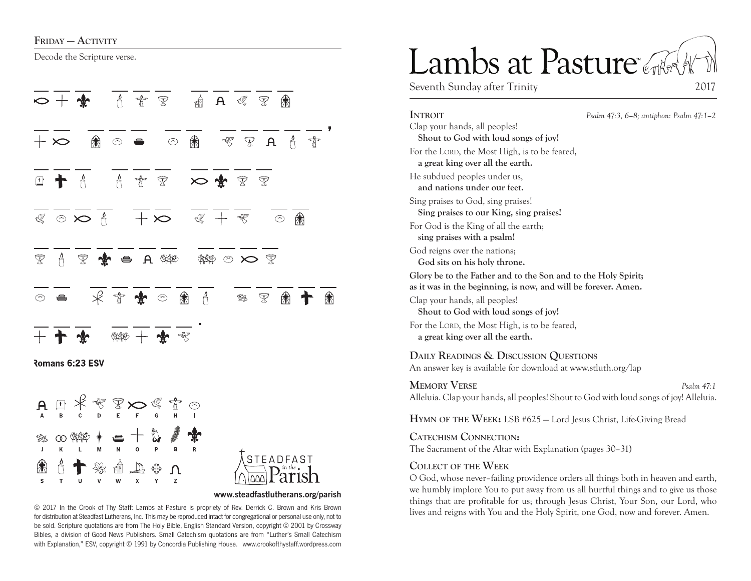### FRIDAY — ACTIVITY

Decode the Scripture verse.







#### **www.steadfastlutherans.org/parish**

for distribution at Steadfast Lutherans, Inc. This may be reproduced intact for congregational or personal use only, not to be sold. Scripture quotations are from The Holy Bible, English Standard Version, copyright © 2001 by Crossway Bibles, a division of Good News Publishers. Small Catechism quotations are from "Luther's Small Catechism with Explanation," ESV, copyright © 1991 by Concordia Publishing House. www.crookofthystaff.wordpress.com

# Lambs at Pasture

Seventh Sunday after Trinity 2017

**Introit** *Psalm 47:3, 6–8; antiphon: Psalm 47:1–2* Clap your hands, all peoples! **Shout to God with loud songs of joy!**  For the LORD, the Most High, is to be feared, **a great king over all the earth.**  He subdued peoples under us, **and nations under our feet.**  Sing praises to God, sing praises! **Sing praises to our King, sing praises!**  For God is the King of all the earth; **sing praises with a psalm!**  God reigns over the nations; **God sits on his holy throne. Glory be to the Father and to the Son and to the Holy Spirit; as it was in the beginning, is now, and will be forever. Amen.** Clap your hands, all peoples! **Shout to God with loud songs of joy!**  For the LORD, the Most High, is to be feared, **a great king over all the earth. Daily Readings & Discussion Questions** An answer key is available for download at www.stluth.org/lap **MEMORY VERSE** *Psalm 47:1* Alleluia. Clap your hands, all peoples! Shout to God with loud songs of joy! Alleluia.

**Hymn of the Week:** LSB #625 — Lord Jesus Christ, Life-Giving Bread

**Catechism Connection:** The Sacrament of the Altar with Explanation (pages 30–31)

### **Collect of the Week**

O God, whose never–failing providence orders all things both in heaven and earth, we humbly implore You to put away from us all hurtful things and to give us those things that are profitable for us; through Jesus Christ, Your Son, our Lord, who © 2017 In the Crook of Thy Staff: Lambs at Pasture is propriety of Rev. Derrick C. Brown and Kris Brown<br>
lives and reigns with You and the Holy Spirit, one God, now and forever. Amen.